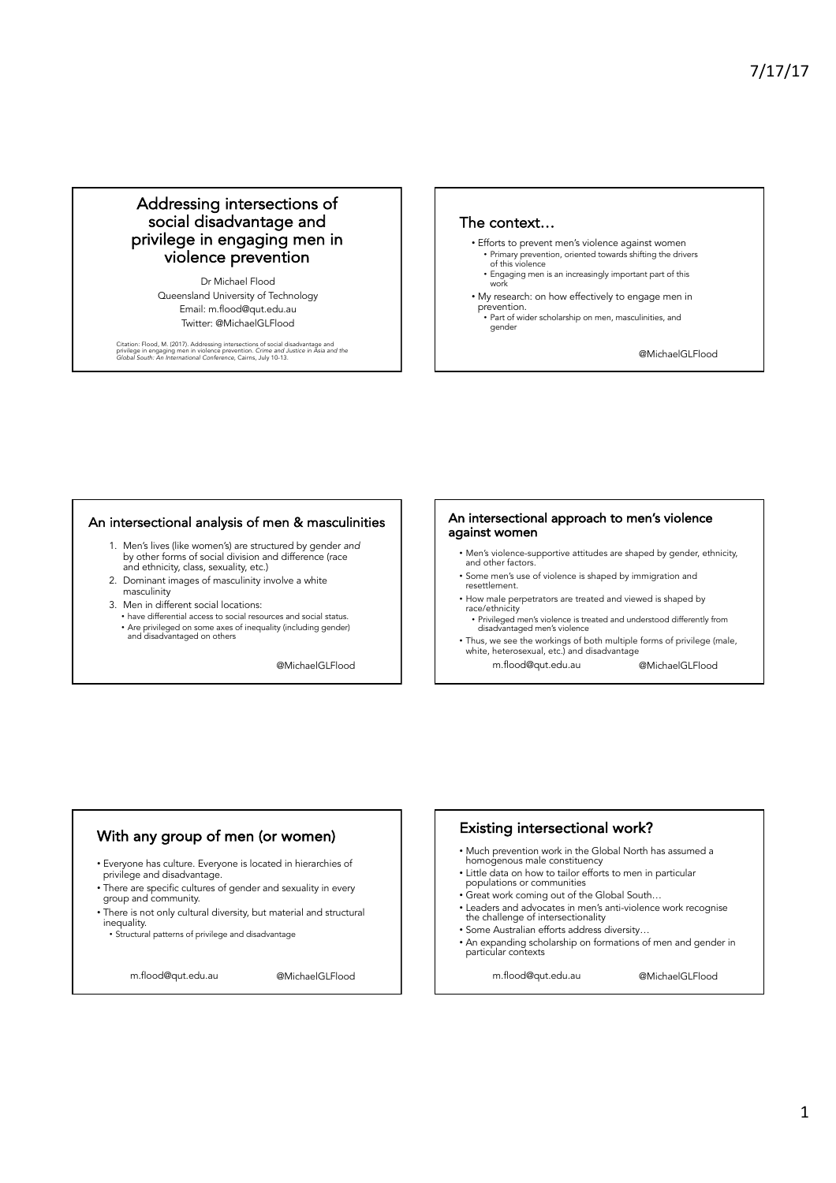# Addressing intersections of social disadvantage and privilege in engaging men in violence prevention

Dr Michael Flood Queensland University of Technology Email: m.flood@qut.edu.au Twitter: @MichaelGLFlood

Citation: Flood, M. (2017). Addressing intersections of social disadvantage and<br>privilege in engaging men in violence prevention. Crime and Justice in Asia and the<br>Global South: An International Conference, Cairns, July 10

#### The context…

gender

- Efforts to prevent men's violence against women • Primary prevention, oriented towards shifting the drivers of this violence
- Engaging men is an increasingly important part of this work
- My research: on how effectively to engage men in prevention. • Part of wider scholarship on men, masculinities, and

@MichaelGLFlood

#### An intersectional analysis of men & masculinities

- 1. Men's lives (like women's) are structured by gender *and*  by other forms of social division and difference (race and ethnicity, class, sexuality, etc.)
- 2. Dominant images of masculinity involve a white masculinity
- 3. Men in different social locations:
	- have differential access to social resources and social status. • Are privileged on some axes of inequality (including gender) and disadvantaged on others

@MichaelGLFlood

#### An intersectional approach to men's violence against women

- Men's violence-supportive attitudes are shaped by gender, ethnicity, and other factors
- Some men's use of violence is shaped by immigration and resettlement.
- How male perpetrators are treated and viewed is shaped by race/ethnicity
	- Privileged men's violence is treated and understood differently from disadvantaged men's violence
- Thus, we see the workings of both multiple forms of privilege (male, white, heterosexual, etc.) and disadvantage m.flood@qut.edu.au @MichaelGLFlood

# With any group of men (or women)

- Everyone has culture. Everyone is located in hierarchies of privilege and disadvantage.
- There are specific cultures of gender and sexuality in every group and community.
- There is not only cultural diversity, but material and structural inequality.

• Structural patterns of privilege and disadvantage

m.flood@qut.edu.au @MichaelGLFlood

# Existing intersectional work?

- Much prevention work in the Global North has assumed a homogenous male constituency
- Little data on how to tailor efforts to men in particular populations or communities
- Great work coming out of the Global South…
- Leaders and advocates in men's anti-violence work recognise the challenge of intersectionality
- Some Australian efforts address diversity…
- An expanding scholarship on formations of men and gender in particular contexts

m.flood@qut.edu.au @MichaelGLFlood